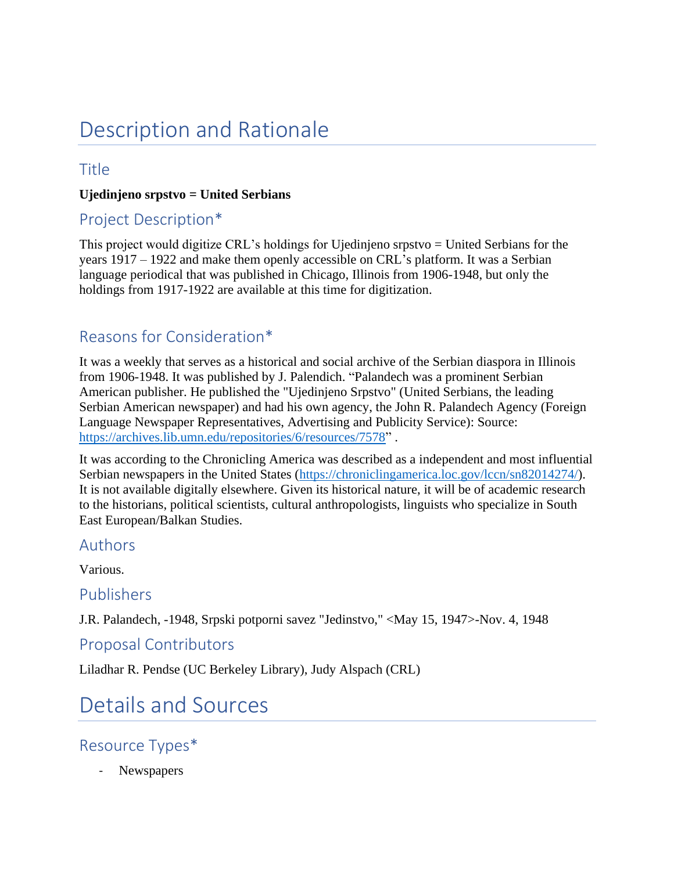# Description and Rationale

## **Title**

#### **Ujedinjeno srpstvo = United Serbians**

### Project Description\*

This project would digitize CRL's holdings for Ujedinjeno srpstvo = United Serbians for the years 1917 – 1922 and make them openly accessible on CRL's platform. It was a Serbian language periodical that was published in Chicago, Illinois from 1906-1948, but only the holdings from 1917-1922 are available at this time for digitization.

## Reasons for Consideration\*

It was a weekly that serves as a historical and social archive of the Serbian diaspora in Illinois from 1906-1948. It was published by J. Palendich. "Palandech was a prominent Serbian American publisher. He published the "Ujedinjeno Srpstvo" (United Serbians, the leading Serbian American newspaper) and had his own agency, the John R. Palandech Agency (Foreign Language Newspaper Representatives, Advertising and Publicity Service): Source: [https://archives.lib.umn.edu/repositories/6/resources/7578"](https://archives.lib.umn.edu/repositories/6/resources/7578).

It was according to the Chronicling America was described as a independent and most influential Serbian newspapers in the United States [\(https://chroniclingamerica.loc.gov/lccn/sn82014274/\)](https://chroniclingamerica.loc.gov/lccn/sn82014274/). It is not available digitally elsewhere. Given its historical nature, it will be of academic research to the historians, political scientists, cultural anthropologists, linguists who specialize in South East European/Balkan Studies.

### Authors

Various.

### Publishers

J.R. Palandech, -1948, Srpski potporni savez "Jedinstvo," <May 15, 1947>-Nov. 4, 1948

### Proposal Contributors

Liladhar R. Pendse (UC Berkeley Library), Judy Alspach (CRL)

# Details and Sources

### Resource Types\*

Newspapers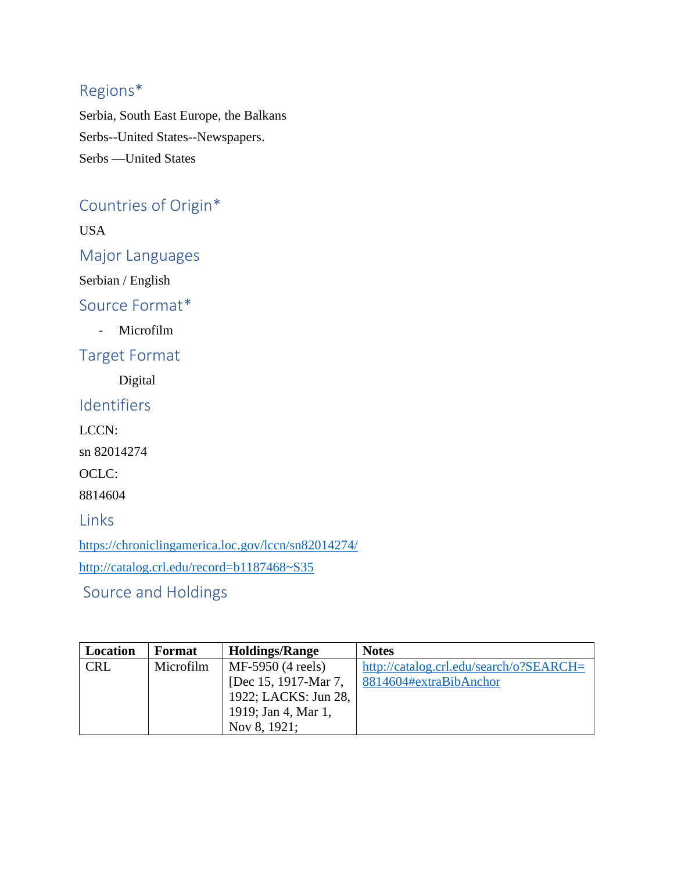## Regions\*

Serbia, South East Europe, the Balkans Serbs--United States--Newspapers. Serbs —United States

## Countries of Origin\*

USA Major Languages Serbian / English Source Format\* - Microfilm Target Format Digital Identifiers LCCN: sn 82014274 OCLC: 8814604

Links

<https://chroniclingamerica.loc.gov/lccn/sn82014274/>

<http://catalog.crl.edu/record=b1187468~S35>

Source and Holdings

| Location   | Format    | <b>Holdings/Range</b> | <b>Notes</b>                            |
|------------|-----------|-----------------------|-----------------------------------------|
| <b>CRL</b> | Microfilm | MF-5950 (4 reels)     | http://catalog.crl.edu/search/o?SEARCH= |
|            |           | [Dec 15, 1917-Mar 7,  | 8814604#extraBibAnchor                  |
|            |           | 1922; LACKS: Jun 28,  |                                         |
|            |           | 1919; Jan 4, Mar 1,   |                                         |
|            |           | Nov 8, 1921;          |                                         |